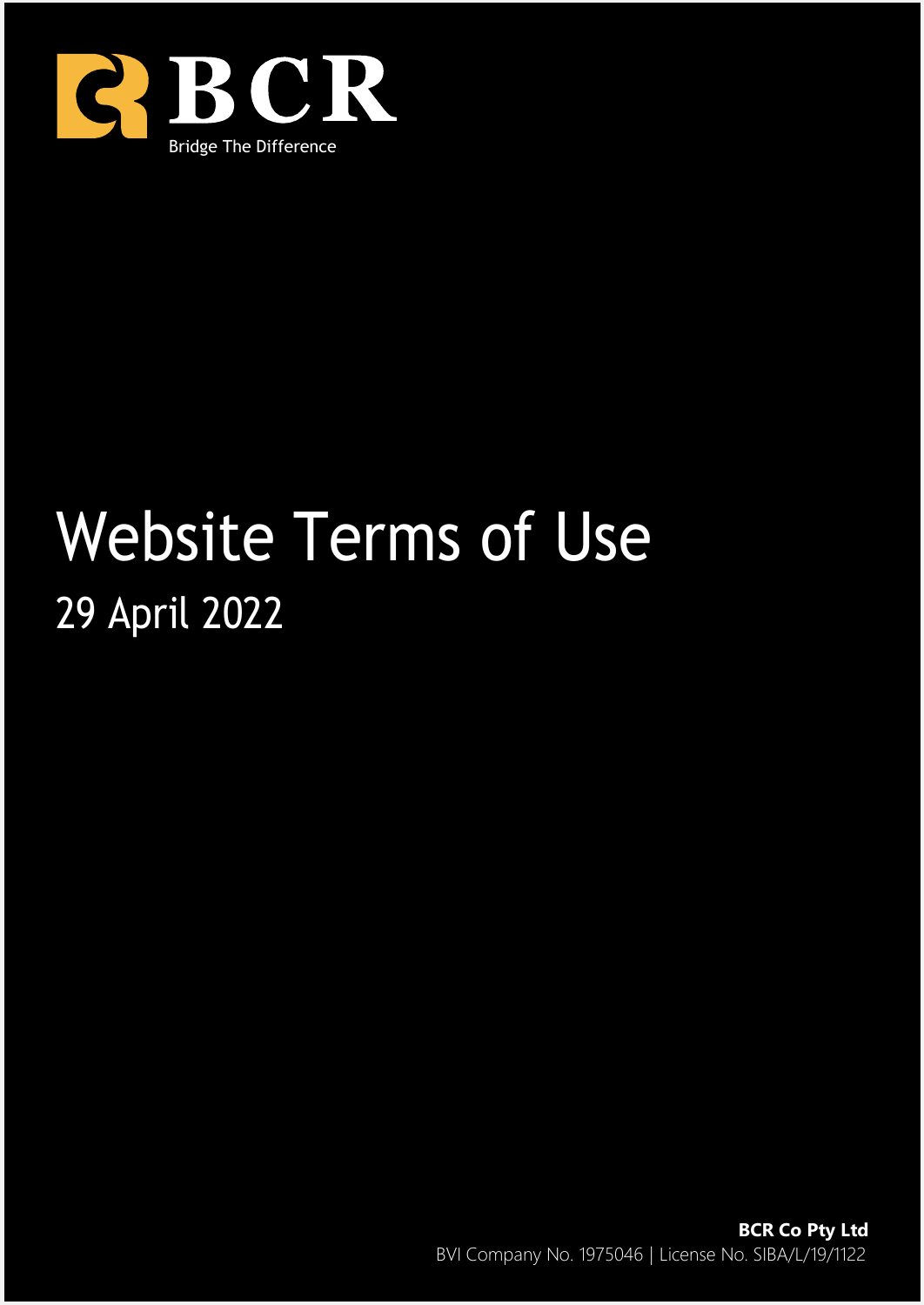

# Website Terms of Use 29 April 2022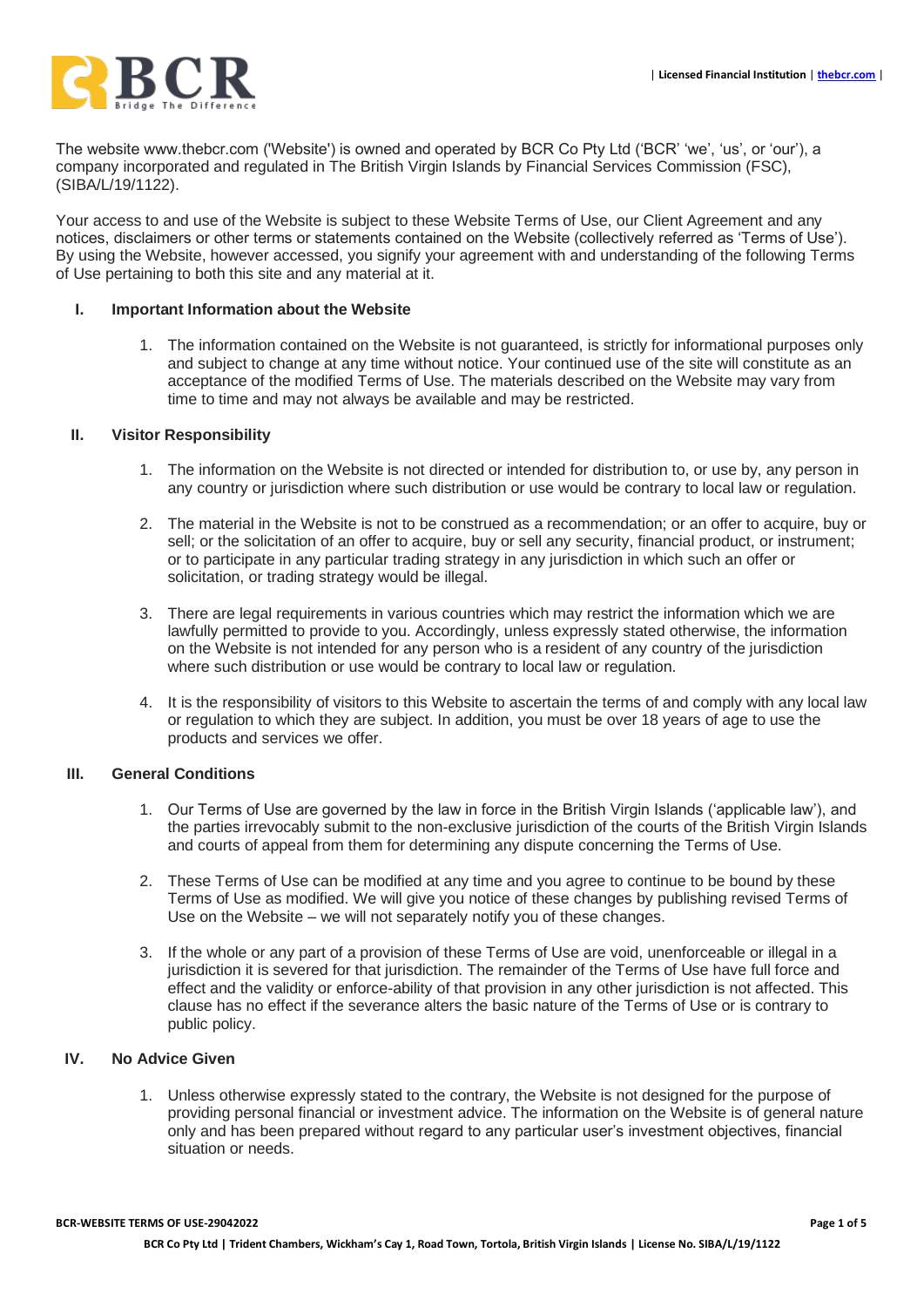The website www.thebcr.com ('Website') is owned and operated by BCR Co Pty Ltd ('BCR' 'we', 'us', or 'our'), a company incorporated and regulated in The British Virgin Islands by Financial Services Commission (FSC), (SIBA/L/19/1122).

Your access to and use of the Website is subject to these Website Terms of Use, our Client Agreement and any notices, disclaimers or other terms or statements contained on the Website (collectively referred as 'Terms of Use'). By using the Website, however accessed, you signify your agreement with and understanding of the following Terms of Use pertaining to both this site and any material at it.

#### **I. Important Information about the Website**

1. The information contained on the Website is not guaranteed, is strictly for informational purposes only and subject to change at any time without notice. Your continued use of the site will constitute as an acceptance of the modified Terms of Use. The materials described on the Website may vary from time to time and may not always be available and may be restricted.

#### **II. Visitor Responsibility**

- 1. The information on the Website is not directed or intended for distribution to, or use by, any person in any country or jurisdiction where such distribution or use would be contrary to local law or regulation.
- 2. The material in the Website is not to be construed as a recommendation; or an offer to acquire, buy or sell; or the solicitation of an offer to acquire, buy or sell any security, financial product, or instrument; or to participate in any particular trading strategy in any jurisdiction in which such an offer or solicitation, or trading strategy would be illegal.
- 3. There are legal requirements in various countries which may restrict the information which we are lawfully permitted to provide to you. Accordingly, unless expressly stated otherwise, the information on the Website is not intended for any person who is a resident of any country of the jurisdiction where such distribution or use would be contrary to local law or regulation.
- 4. It is the responsibility of visitors to this Website to ascertain the terms of and comply with any local law or regulation to which they are subject. In addition, you must be over 18 years of age to use the products and services we offer.

#### **III. General Conditions**

- 1. Our Terms of Use are governed by the law in force in the British Virgin Islands ('applicable law'), and the parties irrevocably submit to the non-exclusive jurisdiction of the courts of the British Virgin Islands and courts of appeal from them for determining any dispute concerning the Terms of Use.
- 2. These Terms of Use can be modified at any time and you agree to continue to be bound by these Terms of Use as modified. We will give you notice of these changes by publishing revised Terms of Use on the Website – we will not separately notify you of these changes.
- 3. If the whole or any part of a provision of these Terms of Use are void, unenforceable or illegal in a jurisdiction it is severed for that jurisdiction. The remainder of the Terms of Use have full force and effect and the validity or enforce-ability of that provision in any other jurisdiction is not affected. This clause has no effect if the severance alters the basic nature of the Terms of Use or is contrary to public policy.

#### **IV. No Advice Given**

1. Unless otherwise expressly stated to the contrary, the Website is not designed for the purpose of providing personal financial or investment advice. The information on the Website is of general nature only and has been prepared without regard to any particular user's investment objectives, financial situation or needs.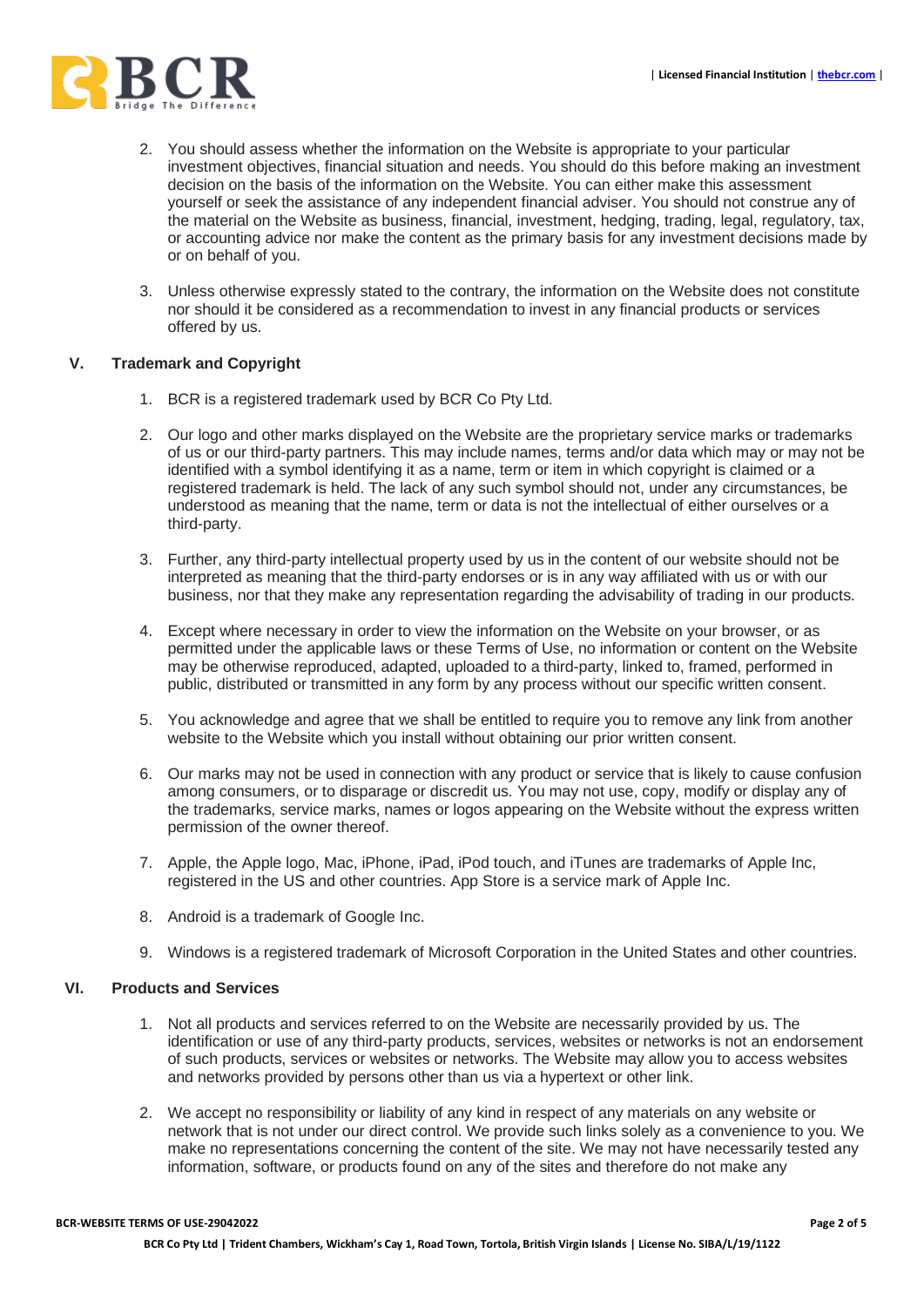

- 2. You should assess whether the information on the Website is appropriate to your particular investment objectives, financial situation and needs. You should do this before making an investment decision on the basis of the information on the Website. You can either make this assessment yourself or seek the assistance of any independent financial adviser. You should not construe any of the material on the Website as business, financial, investment, hedging, trading, legal, regulatory, tax, or accounting advice nor make the content as the primary basis for any investment decisions made by or on behalf of you.
- 3. Unless otherwise expressly stated to the contrary, the information on the Website does not constitute nor should it be considered as a recommendation to invest in any financial products or services offered by us.

## **V. Trademark and Copyright**

- 1. BCR is a registered trademark used by BCR Co Pty Ltd.
- 2. Our logo and other marks displayed on the Website are the proprietary service marks or trademarks of us or our third-party partners. This may include names, terms and/or data which may or may not be identified with a symbol identifying it as a name, term or item in which copyright is claimed or a registered trademark is held. The lack of any such symbol should not, under any circumstances, be understood as meaning that the name, term or data is not the intellectual of either ourselves or a third-party.
- 3. Further, any third-party intellectual property used by us in the content of our website should not be interpreted as meaning that the third-party endorses or is in any way affiliated with us or with our business, nor that they make any representation regarding the advisability of trading in our products.
- 4. Except where necessary in order to view the information on the Website on your browser, or as permitted under the applicable laws or these Terms of Use, no information or content on the Website may be otherwise reproduced, adapted, uploaded to a third-party, linked to, framed, performed in public, distributed or transmitted in any form by any process without our specific written consent.
- 5. You acknowledge and agree that we shall be entitled to require you to remove any link from another website to the Website which you install without obtaining our prior written consent.
- 6. Our marks may not be used in connection with any product or service that is likely to cause confusion among consumers, or to disparage or discredit us. You may not use, copy, modify or display any of the trademarks, service marks, names or logos appearing on the Website without the express written permission of the owner thereof.
- 7. Apple, the Apple logo, Mac, iPhone, iPad, iPod touch, and iTunes are trademarks of Apple Inc, registered in the US and other countries. App Store is a service mark of Apple Inc.
- 8. Android is a trademark of Google Inc.
- 9. Windows is a registered trademark of Microsoft Corporation in the United States and other countries.

## **VI. Products and Services**

- 1. Not all products and services referred to on the Website are necessarily provided by us. The identification or use of any third-party products, services, websites or networks is not an endorsement of such products, services or websites or networks. The Website may allow you to access websites and networks provided by persons other than us via a hypertext or other link.
- 2. We accept no responsibility or liability of any kind in respect of any materials on any website or network that is not under our direct control. We provide such links solely as a convenience to you. We make no representations concerning the content of the site. We may not have necessarily tested any information, software, or products found on any of the sites and therefore do not make any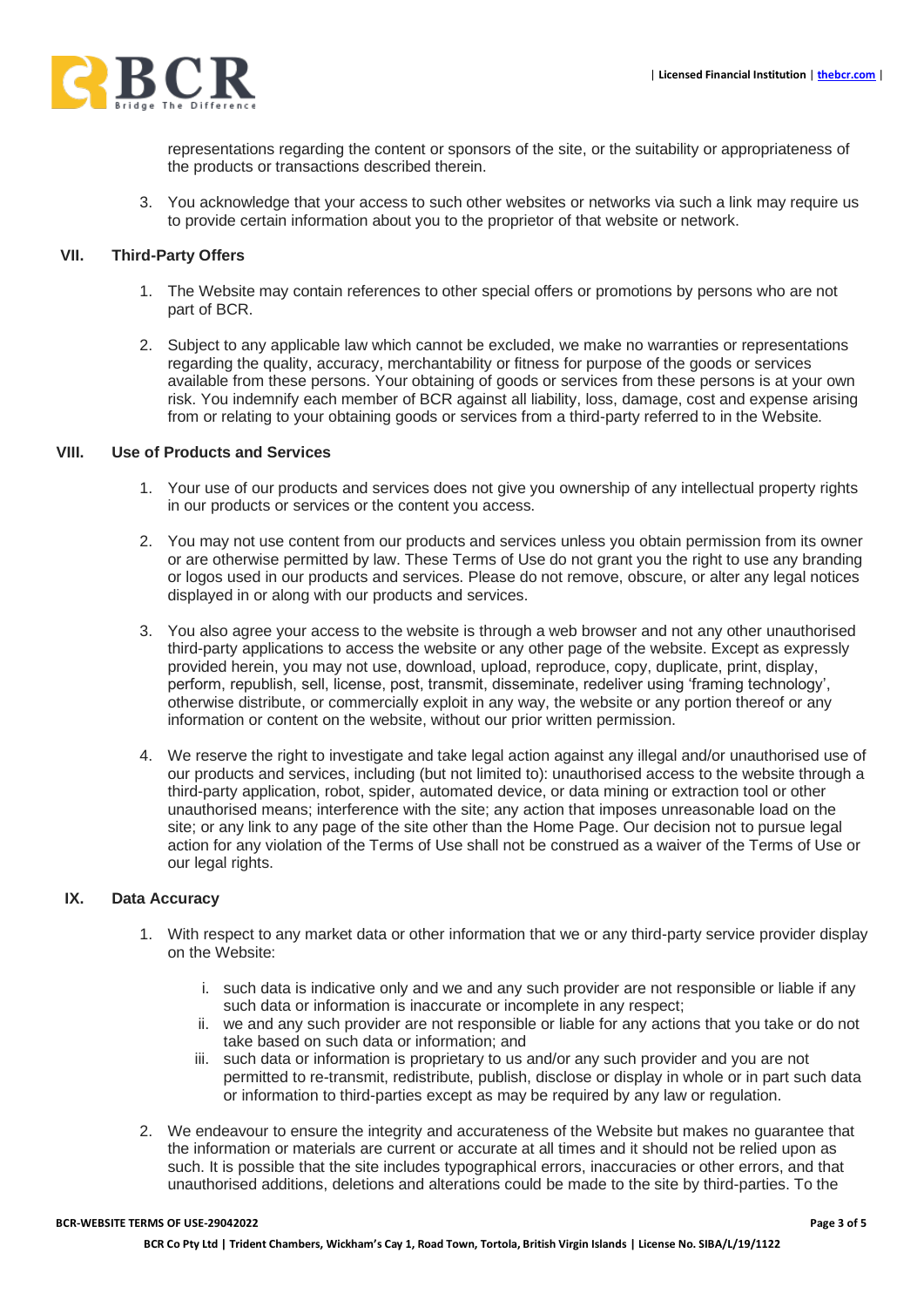

representations regarding the content or sponsors of the site, or the suitability or appropriateness of the products or transactions described therein.

3. You acknowledge that your access to such other websites or networks via such a link may require us to provide certain information about you to the proprietor of that website or network.

#### **VII. Third-Party Offers**

- 1. The Website may contain references to other special offers or promotions by persons who are not part of BCR.
- 2. Subject to any applicable law which cannot be excluded, we make no warranties or representations regarding the quality, accuracy, merchantability or fitness for purpose of the goods or services available from these persons. Your obtaining of goods or services from these persons is at your own risk. You indemnify each member of BCR against all liability, loss, damage, cost and expense arising from or relating to your obtaining goods or services from a third-party referred to in the Website.

## **VIII. Use of Products and Services**

- 1. Your use of our products and services does not give you ownership of any intellectual property rights in our products or services or the content you access.
- 2. You may not use content from our products and services unless you obtain permission from its owner or are otherwise permitted by law. These Terms of Use do not grant you the right to use any branding or logos used in our products and services. Please do not remove, obscure, or alter any legal notices displayed in or along with our products and services.
- 3. You also agree your access to the website is through a web browser and not any other unauthorised third-party applications to access the website or any other page of the website. Except as expressly provided herein, you may not use, download, upload, reproduce, copy, duplicate, print, display, perform, republish, sell, license, post, transmit, disseminate, redeliver using 'framing technology', otherwise distribute, or commercially exploit in any way, the website or any portion thereof or any information or content on the website, without our prior written permission.
- 4. We reserve the right to investigate and take legal action against any illegal and/or unauthorised use of our products and services, including (but not limited to): unauthorised access to the website through a third-party application, robot, spider, automated device, or data mining or extraction tool or other unauthorised means; interference with the site; any action that imposes unreasonable load on the site; or any link to any page of the site other than the Home Page. Our decision not to pursue legal action for any violation of the Terms of Use shall not be construed as a waiver of the Terms of Use or our legal rights.

## **IX. Data Accuracy**

- 1. With respect to any market data or other information that we or any third-party service provider display on the Website:
	- i. such data is indicative only and we and any such provider are not responsible or liable if any such data or information is inaccurate or incomplete in any respect;
	- ii. we and any such provider are not responsible or liable for any actions that you take or do not take based on such data or information; and
	- iii. such data or information is proprietary to us and/or any such provider and you are not permitted to re-transmit, redistribute, publish, disclose or display in whole or in part such data or information to third-parties except as may be required by any law or regulation.
- 2. We endeavour to ensure the integrity and accurateness of the Website but makes no guarantee that the information or materials are current or accurate at all times and it should not be relied upon as such. It is possible that the site includes typographical errors, inaccuracies or other errors, and that unauthorised additions, deletions and alterations could be made to the site by third-parties. To the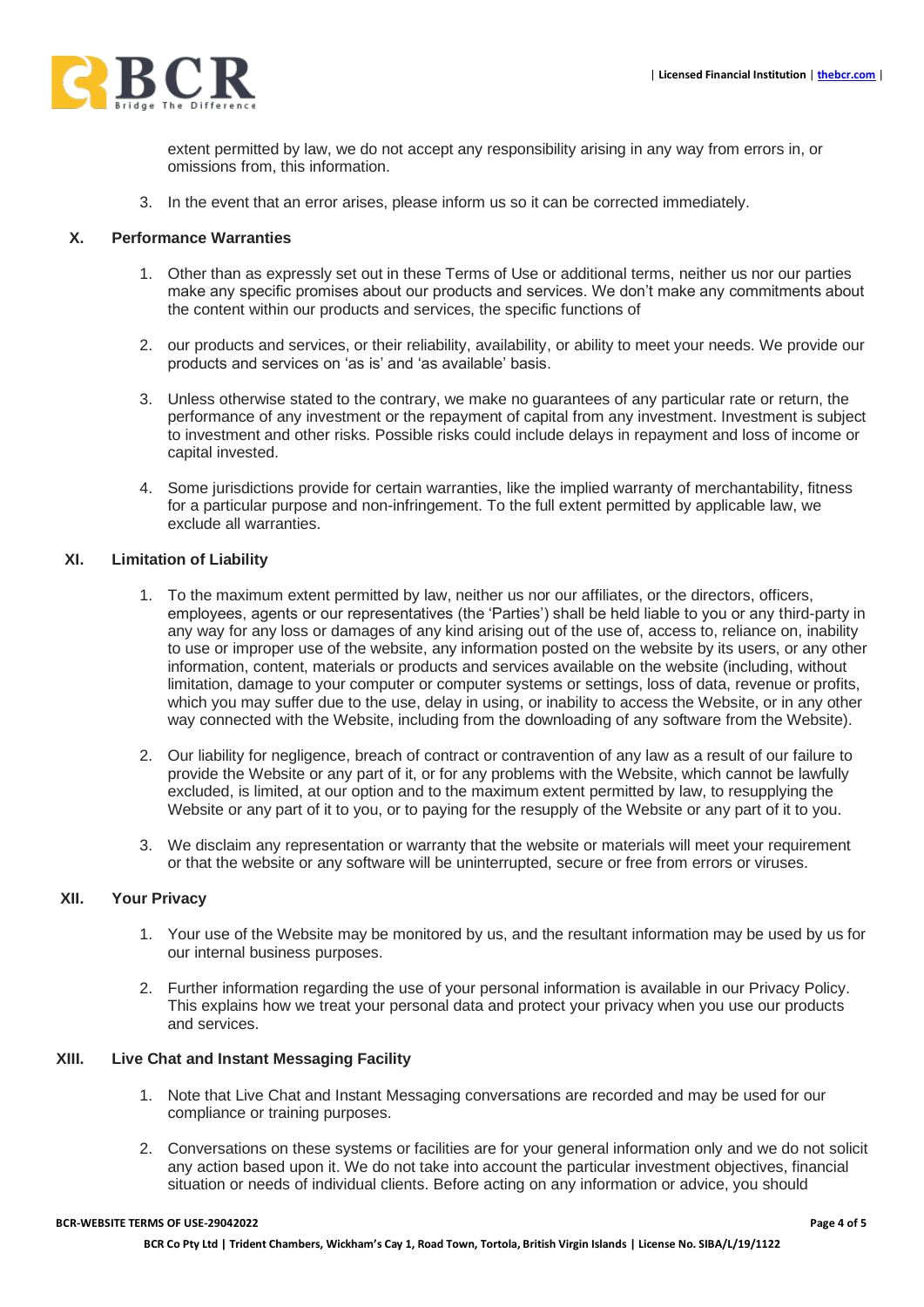

extent permitted by law, we do not accept any responsibility arising in any way from errors in, or omissions from, this information.

3. In the event that an error arises, please inform us so it can be corrected immediately.

#### **X. Performance Warranties**

- 1. Other than as expressly set out in these Terms of Use or additional terms, neither us nor our parties make any specific promises about our products and services. We don't make any commitments about the content within our products and services, the specific functions of
- 2. our products and services, or their reliability, availability, or ability to meet your needs. We provide our products and services on 'as is' and 'as available' basis.
- 3. Unless otherwise stated to the contrary, we make no guarantees of any particular rate or return, the performance of any investment or the repayment of capital from any investment. Investment is subject to investment and other risks. Possible risks could include delays in repayment and loss of income or capital invested.
- 4. Some jurisdictions provide for certain warranties, like the implied warranty of merchantability, fitness for a particular purpose and non-infringement. To the full extent permitted by applicable law, we exclude all warranties.

#### **XI. Limitation of Liability**

- 1. To the maximum extent permitted by law, neither us nor our affiliates, or the directors, officers, employees, agents or our representatives (the 'Parties') shall be held liable to you or any third-party in any way for any loss or damages of any kind arising out of the use of, access to, reliance on, inability to use or improper use of the website, any information posted on the website by its users, or any other information, content, materials or products and services available on the website (including, without limitation, damage to your computer or computer systems or settings, loss of data, revenue or profits, which you may suffer due to the use, delay in using, or inability to access the Website, or in any other way connected with the Website, including from the downloading of any software from the Website).
- 2. Our liability for negligence, breach of contract or contravention of any law as a result of our failure to provide the Website or any part of it, or for any problems with the Website, which cannot be lawfully excluded, is limited, at our option and to the maximum extent permitted by law, to resupplying the Website or any part of it to you, or to paying for the resupply of the Website or any part of it to you.
- 3. We disclaim any representation or warranty that the website or materials will meet your requirement or that the website or any software will be uninterrupted, secure or free from errors or viruses.

## **XII. Your Privacy**

- 1. Your use of the Website may be monitored by us, and the resultant information may be used by us for our internal business purposes.
- 2. Further information regarding the use of your personal information is available in our Privacy Policy. This explains how we treat your personal data and protect your privacy when you use our products and services.

# **XIII. Live Chat and Instant Messaging Facility**

- 1. Note that Live Chat and Instant Messaging conversations are recorded and may be used for our compliance or training purposes.
- 2. Conversations on these systems or facilities are for your general information only and we do not solicit any action based upon it. We do not take into account the particular investment objectives, financial situation or needs of individual clients. Before acting on any information or advice, you should